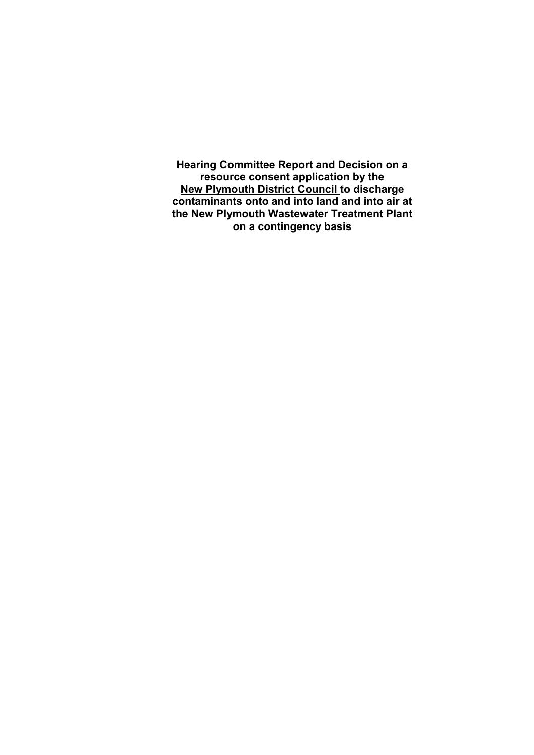**Hearing Committee Report and Decision on a resource consent application by the New Plymouth District Council to discharge contaminants onto and into land and into air at the New Plymouth Wastewater Treatment Plant on a contingency basis**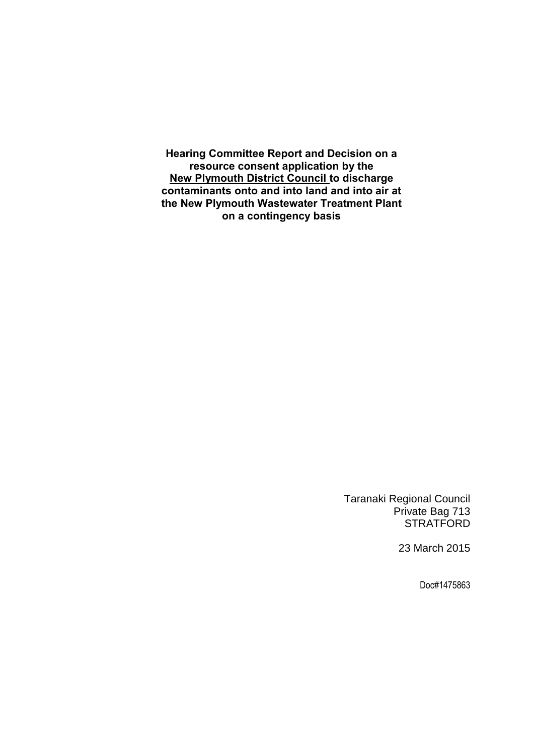**Hearing Committee Report and Decision on a resource consent application by the New Plymouth District Council to discharge contaminants onto and into land and into air at the New Plymouth Wastewater Treatment Plant on a contingency basis**

> Taranaki Regional Council Private Bag 713 **STRATFORD**

> > 23 March 2015

Doc#1475863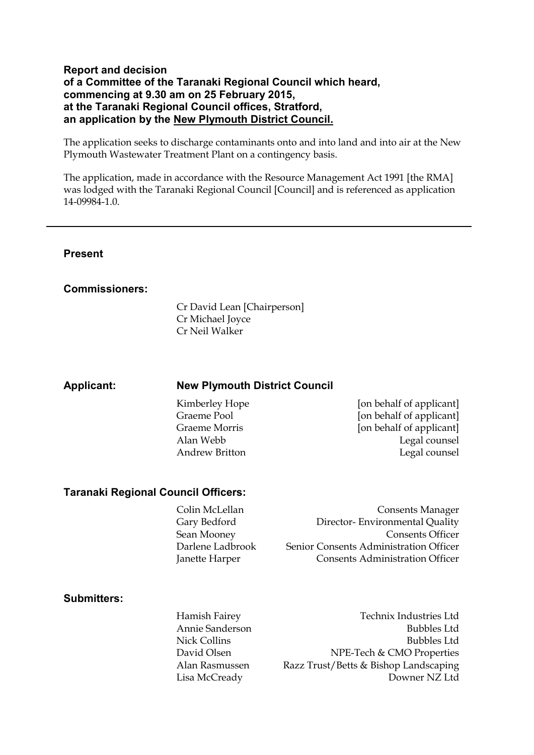#### **Report and decision of a Committee of the Taranaki Regional Council which heard, commencing at 9.30 am on 25 February 2015, at the Taranaki Regional Council offices, Stratford, an application by the New Plymouth District Council.**

The application seeks to discharge contaminants onto and into land and into air at the New Plymouth Wastewater Treatment Plant on a contingency basis.

The application, made in accordance with the Resource Management Act 1991 [the RMA] was lodged with the Taranaki Regional Council [Council] and is referenced as application 14-09984-1.0.

#### **Present**

#### **Commissioners:**

Cr David Lean [Chairperson] Cr Michael Joyce Cr Neil Walker

#### **Applicant: New Plymouth District Council**

Kimberley Hope [on behalf of applicant] Graeme Pool [on behalf of applicant] Graeme Morris [on behalf of applicant] Alan Webb Legal counsel Andrew Britton Legal counsel

#### **Taranaki Regional Council Officers:**

Colin McLellan Consents Manager Gary Bedford Director- Environmental Quality Sean Mooney Consents Officer Darlene Ladbrook Senior Consents Administration Officer Janette Harper Consents Administration Officer

#### **Submitters:**

Hamish Fairey Technix Industries Ltd Annie Sanderson Bubbles Ltd Nick Collins Bubbles Ltd David Olsen NPE-Tech & CMO Properties Alan Rasmussen Razz Trust/Betts & Bishop Landscaping Lisa McCready Downer NZ Ltd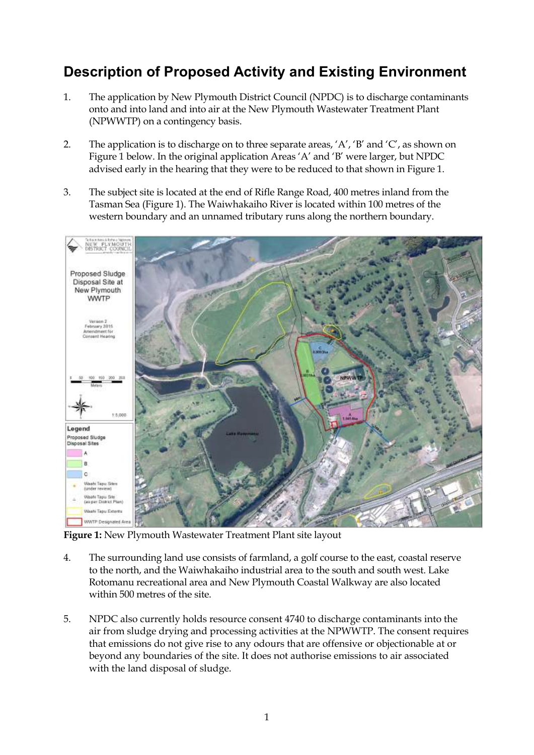# **Description of Proposed Activity and Existing Environment**

- 1. The application by New Plymouth District Council (NPDC) is to discharge contaminants onto and into land and into air at the New Plymouth Wastewater Treatment Plant (NPWWTP) on a contingency basis.
- 2. The application is to discharge on to three separate areas, 'A', 'B' and 'C', as shown on Figure 1 below. In the original application Areas 'A' and 'B' were larger, but NPDC advised early in the hearing that they were to be reduced to that shown in Figure 1.
- 3. The subject site is located at the end of Rifle Range Road, 400 metres inland from the Tasman Sea (Figure 1). The Waiwhakaiho River is located within 100 metres of the western boundary and an unnamed tributary runs along the northern boundary.



**Figure 1:** New Plymouth Wastewater Treatment Plant site layout

- 4. The surrounding land use consists of farmland, a golf course to the east, coastal reserve to the north, and the Waiwhakaiho industrial area to the south and south west. Lake Rotomanu recreational area and New Plymouth Coastal Walkway are also located within 500 metres of the site.
- 5. NPDC also currently holds resource consent 4740 to discharge contaminants into the air from sludge drying and processing activities at the NPWWTP. The consent requires that emissions do not give rise to any odours that are offensive or objectionable at or beyond any boundaries of the site. It does not authorise emissions to air associated with the land disposal of sludge.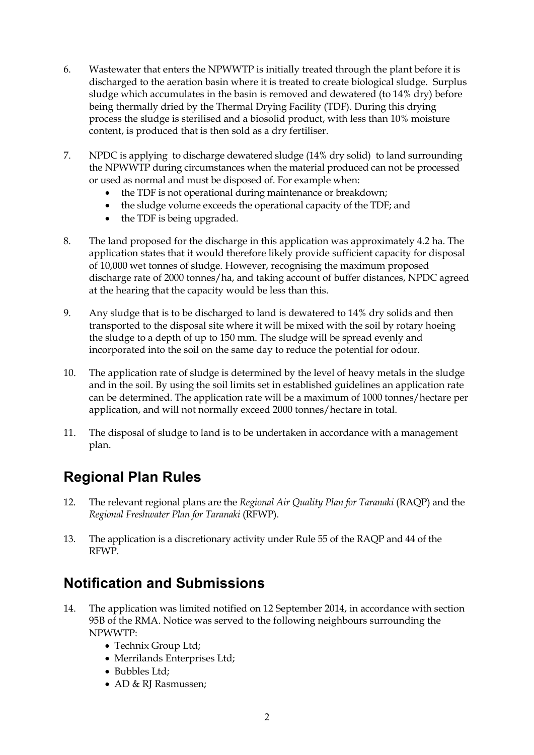- 6. Wastewater that enters the NPWWTP is initially treated through the plant before it is discharged to the aeration basin where it is treated to create biological sludge. Surplus sludge which accumulates in the basin is removed and dewatered (to 14% dry) before being thermally dried by the Thermal Drying Facility (TDF). During this drying process the sludge is sterilised and a biosolid product, with less than 10% moisture content, is produced that is then sold as a dry fertiliser.
- 7. NPDC is applying to discharge dewatered sludge (14% dry solid) to land surrounding the NPWWTP during circumstances when the material produced can not be processed or used as normal and must be disposed of. For example when:
	- the TDF is not operational during maintenance or breakdown;
	- the sludge volume exceeds the operational capacity of the TDF; and
	- the TDF is being upgraded.
- 8. The land proposed for the discharge in this application was approximately 4.2 ha. The application states that it would therefore likely provide sufficient capacity for disposal of 10,000 wet tonnes of sludge. However, recognising the maximum proposed discharge rate of 2000 tonnes/ha, and taking account of buffer distances, NPDC agreed at the hearing that the capacity would be less than this.
- 9. Any sludge that is to be discharged to land is dewatered to 14% dry solids and then transported to the disposal site where it will be mixed with the soil by rotary hoeing the sludge to a depth of up to 150 mm. The sludge will be spread evenly and incorporated into the soil on the same day to reduce the potential for odour.
- 10. The application rate of sludge is determined by the level of heavy metals in the sludge and in the soil. By using the soil limits set in established guidelines an application rate can be determined. The application rate will be a maximum of 1000 tonnes/hectare per application, and will not normally exceed 2000 tonnes/hectare in total.
- 11. The disposal of sludge to land is to be undertaken in accordance with a management plan.

# **Regional Plan Rules**

- 12. The relevant regional plans are the *Regional Air Quality Plan for Taranaki* (RAQP) and the *Regional Freshwater Plan for Taranaki* (RFWP).
- 13. The application is a discretionary activity under Rule 55 of the RAQP and 44 of the RFWP.

## **Notification and Submissions**

- 14. The application was limited notified on 12 September 2014, in accordance with section 95B of the RMA. Notice was served to the following neighbours surrounding the NPWWTP:
	- Technix Group Ltd;
	- Merrilands Enterprises Ltd;
	- Bubbles Ltd;
	- AD & RJ Rasmussen;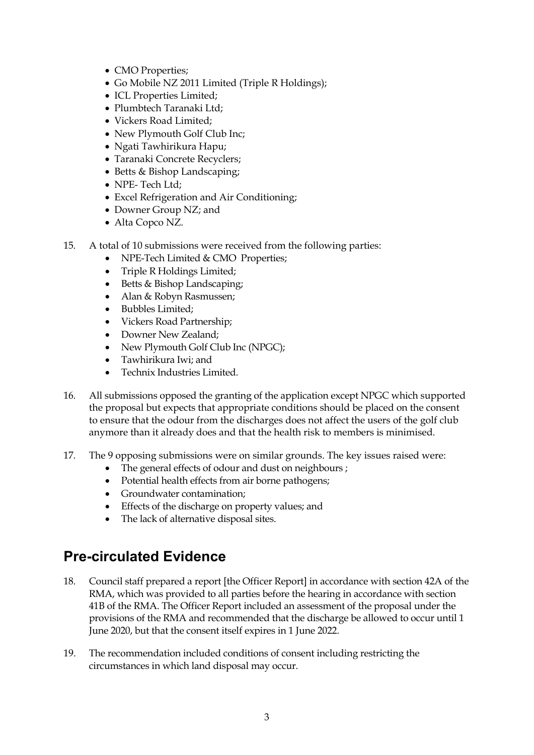- CMO Properties;
- Go Mobile NZ 2011 Limited (Triple R Holdings);
- ICL Properties Limited;
- Plumbtech Taranaki Ltd:
- Vickers Road Limited;
- New Plymouth Golf Club Inc;
- Ngati Tawhirikura Hapu;
- Taranaki Concrete Recyclers;
- Betts & Bishop Landscaping;
- NPE- Tech Ltd:
- Excel Refrigeration and Air Conditioning;
- Downer Group NZ; and
- Alta Copco NZ.
- 15. A total of 10 submissions were received from the following parties:
	- NPE-Tech Limited & CMO Properties;
	- Triple R Holdings Limited;
	- Betts & Bishop Landscaping;
	- Alan & Robyn Rasmussen;
	- Bubbles Limited;
	- Vickers Road Partnership;
	- Downer New Zealand;
	- New Plymouth Golf Club Inc (NPGC);
	- Tawhirikura Iwi; and
	- Technix Industries Limited.
- 16. All submissions opposed the granting of the application except NPGC which supported the proposal but expects that appropriate conditions should be placed on the consent to ensure that the odour from the discharges does not affect the users of the golf club anymore than it already does and that the health risk to members is minimised.
- 17. The 9 opposing submissions were on similar grounds. The key issues raised were:
	- The general effects of odour and dust on neighbours ;
	- Potential health effects from air borne pathogens;
	- Groundwater contamination;
	- Effects of the discharge on property values; and
	- The lack of alternative disposal sites.

## **Pre-circulated Evidence**

- 18. Council staff prepared a report [the Officer Report] in accordance with section 42A of the RMA, which was provided to all parties before the hearing in accordance with section 41B of the RMA. The Officer Report included an assessment of the proposal under the provisions of the RMA and recommended that the discharge be allowed to occur until 1 June 2020, but that the consent itself expires in 1 June 2022.
- 19. The recommendation included conditions of consent including restricting the circumstances in which land disposal may occur.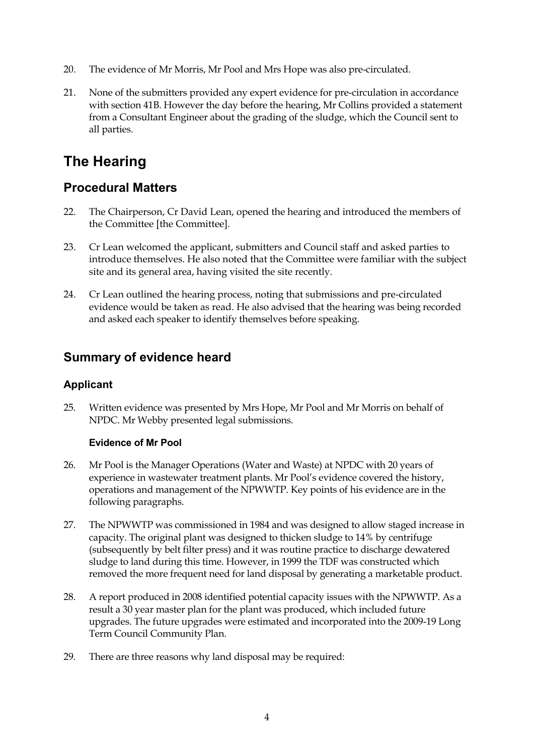- 20. The evidence of Mr Morris, Mr Pool and Mrs Hope was also pre-circulated.
- 21. None of the submitters provided any expert evidence for pre-circulation in accordance with section 41B. However the day before the hearing, Mr Collins provided a statement from a Consultant Engineer about the grading of the sludge, which the Council sent to all parties.

# **The Hearing**

### **Procedural Matters**

- 22. The Chairperson, Cr David Lean, opened the hearing and introduced the members of the Committee [the Committee].
- 23. Cr Lean welcomed the applicant, submitters and Council staff and asked parties to introduce themselves. He also noted that the Committee were familiar with the subject site and its general area, having visited the site recently.
- 24. Cr Lean outlined the hearing process, noting that submissions and pre-circulated evidence would be taken as read. He also advised that the hearing was being recorded and asked each speaker to identify themselves before speaking.

### **Summary of evidence heard**

#### **Applicant**

25. Written evidence was presented by Mrs Hope, Mr Pool and Mr Morris on behalf of NPDC. Mr Webby presented legal submissions.

#### **Evidence of Mr Pool**

- 26. Mr Pool is the Manager Operations (Water and Waste) at NPDC with 20 years of experience in wastewater treatment plants. Mr Pool's evidence covered the history, operations and management of the NPWWTP. Key points of his evidence are in the following paragraphs.
- 27. The NPWWTP was commissioned in 1984 and was designed to allow staged increase in capacity. The original plant was designed to thicken sludge to 14% by centrifuge (subsequently by belt filter press) and it was routine practice to discharge dewatered sludge to land during this time. However, in 1999 the TDF was constructed which removed the more frequent need for land disposal by generating a marketable product.
- 28. A report produced in 2008 identified potential capacity issues with the NPWWTP. As a result a 30 year master plan for the plant was produced, which included future upgrades. The future upgrades were estimated and incorporated into the 2009-19 Long Term Council Community Plan.
- 29. There are three reasons why land disposal may be required: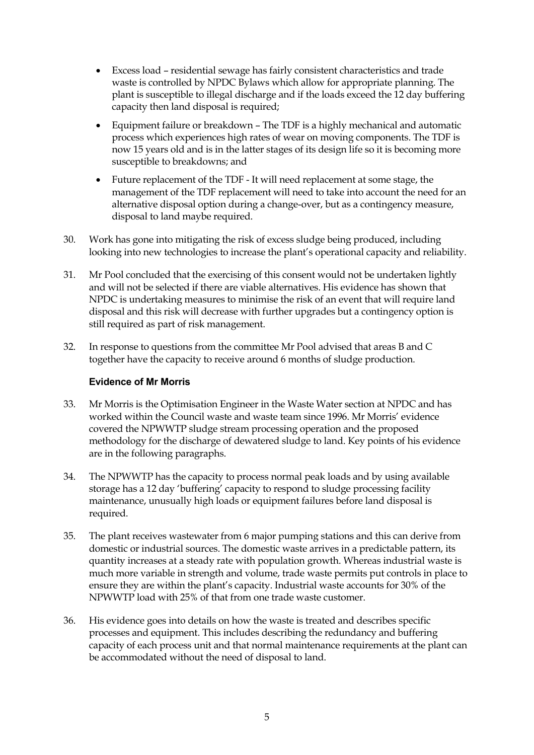- Excess load residential sewage has fairly consistent characteristics and trade waste is controlled by NPDC Bylaws which allow for appropriate planning. The plant is susceptible to illegal discharge and if the loads exceed the 12 day buffering capacity then land disposal is required;
- Equipment failure or breakdown The TDF is a highly mechanical and automatic process which experiences high rates of wear on moving components. The TDF is now 15 years old and is in the latter stages of its design life so it is becoming more susceptible to breakdowns; and
- Future replacement of the TDF It will need replacement at some stage, the management of the TDF replacement will need to take into account the need for an alternative disposal option during a change-over, but as a contingency measure, disposal to land maybe required.
- 30. Work has gone into mitigating the risk of excess sludge being produced, including looking into new technologies to increase the plant's operational capacity and reliability.
- 31. Mr Pool concluded that the exercising of this consent would not be undertaken lightly and will not be selected if there are viable alternatives. His evidence has shown that NPDC is undertaking measures to minimise the risk of an event that will require land disposal and this risk will decrease with further upgrades but a contingency option is still required as part of risk management.
- 32. In response to questions from the committee Mr Pool advised that areas B and C together have the capacity to receive around 6 months of sludge production.

#### **Evidence of Mr Morris**

- 33. Mr Morris is the Optimisation Engineer in the Waste Water section at NPDC and has worked within the Council waste and waste team since 1996. Mr Morris' evidence covered the NPWWTP sludge stream processing operation and the proposed methodology for the discharge of dewatered sludge to land. Key points of his evidence are in the following paragraphs.
- 34. The NPWWTP has the capacity to process normal peak loads and by using available storage has a 12 day 'buffering' capacity to respond to sludge processing facility maintenance, unusually high loads or equipment failures before land disposal is required.
- 35. The plant receives wastewater from 6 major pumping stations and this can derive from domestic or industrial sources. The domestic waste arrives in a predictable pattern, its quantity increases at a steady rate with population growth. Whereas industrial waste is much more variable in strength and volume, trade waste permits put controls in place to ensure they are within the plant's capacity. Industrial waste accounts for 30% of the NPWWTP load with 25% of that from one trade waste customer.
- 36. His evidence goes into details on how the waste is treated and describes specific processes and equipment. This includes describing the redundancy and buffering capacity of each process unit and that normal maintenance requirements at the plant can be accommodated without the need of disposal to land.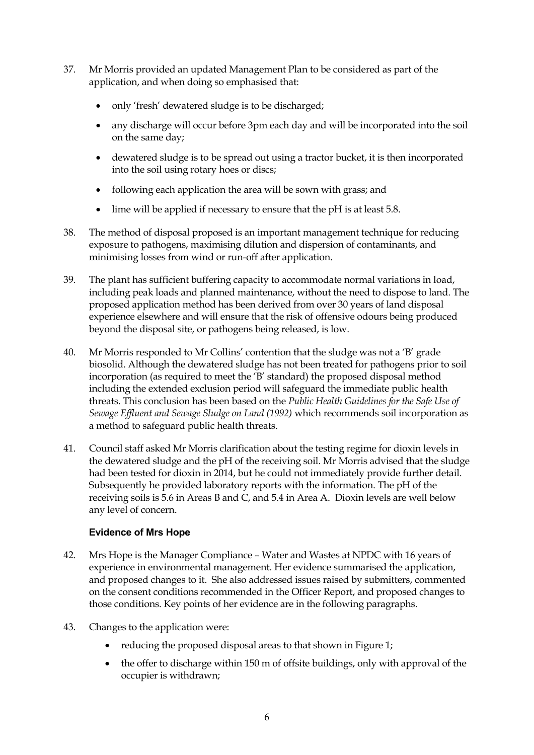- 37. Mr Morris provided an updated Management Plan to be considered as part of the application, and when doing so emphasised that:
	- only 'fresh' dewatered sludge is to be discharged;
	- any discharge will occur before 3pm each day and will be incorporated into the soil on the same day;
	- dewatered sludge is to be spread out using a tractor bucket, it is then incorporated into the soil using rotary hoes or discs;
	- following each application the area will be sown with grass; and
	- lime will be applied if necessary to ensure that the pH is at least 5.8.
- 38. The method of disposal proposed is an important management technique for reducing exposure to pathogens, maximising dilution and dispersion of contaminants, and minimising losses from wind or run-off after application.
- 39. The plant has sufficient buffering capacity to accommodate normal variations in load, including peak loads and planned maintenance, without the need to dispose to land. The proposed application method has been derived from over 30 years of land disposal experience elsewhere and will ensure that the risk of offensive odours being produced beyond the disposal site, or pathogens being released, is low.
- 40. Mr Morris responded to Mr Collins' contention that the sludge was not a 'B' grade biosolid. Although the dewatered sludge has not been treated for pathogens prior to soil incorporation (as required to meet the 'B' standard) the proposed disposal method including the extended exclusion period will safeguard the immediate public health threats. This conclusion has been based on the *Public Health Guidelines for the Safe Use of Sewage Effluent and Sewage Sludge on Land (1992)* which recommends soil incorporation as a method to safeguard public health threats.
- 41. Council staff asked Mr Morris clarification about the testing regime for dioxin levels in the dewatered sludge and the pH of the receiving soil. Mr Morris advised that the sludge had been tested for dioxin in 2014, but he could not immediately provide further detail. Subsequently he provided laboratory reports with the information. The pH of the receiving soils is 5.6 in Areas B and C, and 5.4 in Area A. Dioxin levels are well below any level of concern.

#### **Evidence of Mrs Hope**

- 42. Mrs Hope is the Manager Compliance Water and Wastes at NPDC with 16 years of experience in environmental management. Her evidence summarised the application, and proposed changes to it. She also addressed issues raised by submitters, commented on the consent conditions recommended in the Officer Report, and proposed changes to those conditions. Key points of her evidence are in the following paragraphs.
- 43. Changes to the application were:
	- reducing the proposed disposal areas to that shown in Figure 1;
	- the offer to discharge within 150 m of offsite buildings, only with approval of the occupier is withdrawn;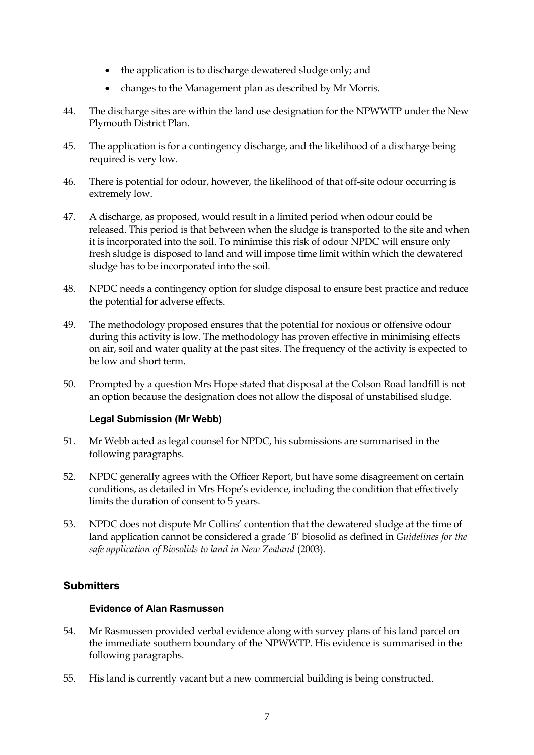- the application is to discharge dewatered sludge only; and
- changes to the Management plan as described by Mr Morris.
- 44. The discharge sites are within the land use designation for the NPWWTP under the New Plymouth District Plan.
- 45. The application is for a contingency discharge, and the likelihood of a discharge being required is very low.
- 46. There is potential for odour, however, the likelihood of that off-site odour occurring is extremely low.
- 47. A discharge, as proposed, would result in a limited period when odour could be released. This period is that between when the sludge is transported to the site and when it is incorporated into the soil. To minimise this risk of odour NPDC will ensure only fresh sludge is disposed to land and will impose time limit within which the dewatered sludge has to be incorporated into the soil.
- 48. NPDC needs a contingency option for sludge disposal to ensure best practice and reduce the potential for adverse effects.
- 49. The methodology proposed ensures that the potential for noxious or offensive odour during this activity is low. The methodology has proven effective in minimising effects on air, soil and water quality at the past sites. The frequency of the activity is expected to be low and short term.
- 50. Prompted by a question Mrs Hope stated that disposal at the Colson Road landfill is not an option because the designation does not allow the disposal of unstabilised sludge.

#### **Legal Submission (Mr Webb)**

- 51. Mr Webb acted as legal counsel for NPDC, his submissions are summarised in the following paragraphs.
- 52. NPDC generally agrees with the Officer Report, but have some disagreement on certain conditions, as detailed in Mrs Hope's evidence, including the condition that effectively limits the duration of consent to 5 years.
- 53. NPDC does not dispute Mr Collins' contention that the dewatered sludge at the time of land application cannot be considered a grade 'B' biosolid as defined in *Guidelines for the safe application of Biosolids to land in New Zealand* (2003).

#### **Submitters**

#### **Evidence of Alan Rasmussen**

- 54. Mr Rasmussen provided verbal evidence along with survey plans of his land parcel on the immediate southern boundary of the NPWWTP. His evidence is summarised in the following paragraphs.
- 55. His land is currently vacant but a new commercial building is being constructed.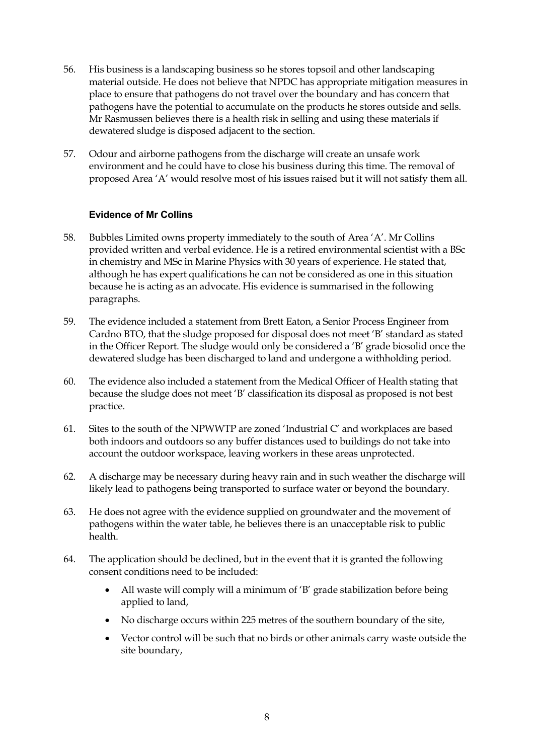- 56. His business is a landscaping business so he stores topsoil and other landscaping material outside. He does not believe that NPDC has appropriate mitigation measures in place to ensure that pathogens do not travel over the boundary and has concern that pathogens have the potential to accumulate on the products he stores outside and sells. Mr Rasmussen believes there is a health risk in selling and using these materials if dewatered sludge is disposed adjacent to the section.
- 57. Odour and airborne pathogens from the discharge will create an unsafe work environment and he could have to close his business during this time. The removal of proposed Area 'A' would resolve most of his issues raised but it will not satisfy them all.

#### **Evidence of Mr Collins**

- 58. Bubbles Limited owns property immediately to the south of Area 'A'. Mr Collins provided written and verbal evidence. He is a retired environmental scientist with a BSc in chemistry and MSc in Marine Physics with 30 years of experience. He stated that, although he has expert qualifications he can not be considered as one in this situation because he is acting as an advocate. His evidence is summarised in the following paragraphs.
- 59. The evidence included a statement from Brett Eaton, a Senior Process Engineer from Cardno BTO, that the sludge proposed for disposal does not meet 'B' standard as stated in the Officer Report. The sludge would only be considered a 'B' grade biosolid once the dewatered sludge has been discharged to land and undergone a withholding period.
- 60. The evidence also included a statement from the Medical Officer of Health stating that because the sludge does not meet 'B' classification its disposal as proposed is not best practice.
- 61. Sites to the south of the NPWWTP are zoned 'Industrial C' and workplaces are based both indoors and outdoors so any buffer distances used to buildings do not take into account the outdoor workspace, leaving workers in these areas unprotected.
- 62. A discharge may be necessary during heavy rain and in such weather the discharge will likely lead to pathogens being transported to surface water or beyond the boundary.
- 63. He does not agree with the evidence supplied on groundwater and the movement of pathogens within the water table, he believes there is an unacceptable risk to public health.
- 64. The application should be declined, but in the event that it is granted the following consent conditions need to be included:
	- All waste will comply will a minimum of 'B' grade stabilization before being applied to land,
	- No discharge occurs within 225 metres of the southern boundary of the site,
	- Vector control will be such that no birds or other animals carry waste outside the site boundary,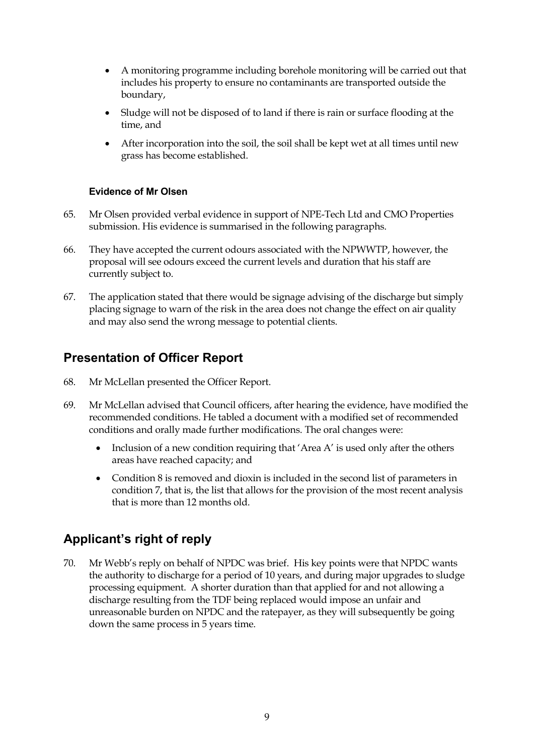- A monitoring programme including borehole monitoring will be carried out that includes his property to ensure no contaminants are transported outside the boundary,
- Sludge will not be disposed of to land if there is rain or surface flooding at the time, and
- After incorporation into the soil, the soil shall be kept wet at all times until new grass has become established.

#### **Evidence of Mr Olsen**

- 65. Mr Olsen provided verbal evidence in support of NPE-Tech Ltd and CMO Properties submission. His evidence is summarised in the following paragraphs.
- 66. They have accepted the current odours associated with the NPWWTP, however, the proposal will see odours exceed the current levels and duration that his staff are currently subject to.
- 67. The application stated that there would be signage advising of the discharge but simply placing signage to warn of the risk in the area does not change the effect on air quality and may also send the wrong message to potential clients.

### **Presentation of Officer Report**

- 68. Mr McLellan presented the Officer Report.
- 69. Mr McLellan advised that Council officers, after hearing the evidence, have modified the recommended conditions. He tabled a document with a modified set of recommended conditions and orally made further modifications. The oral changes were:
	- Inclusion of a new condition requiring that 'Area A' is used only after the others areas have reached capacity; and
	- Condition 8 is removed and dioxin is included in the second list of parameters in condition 7, that is, the list that allows for the provision of the most recent analysis that is more than 12 months old.

### **Applicant's right of reply**

70. Mr Webb's reply on behalf of NPDC was brief. His key points were that NPDC wants the authority to discharge for a period of 10 years, and during major upgrades to sludge processing equipment. A shorter duration than that applied for and not allowing a discharge resulting from the TDF being replaced would impose an unfair and unreasonable burden on NPDC and the ratepayer, as they will subsequently be going down the same process in 5 years time.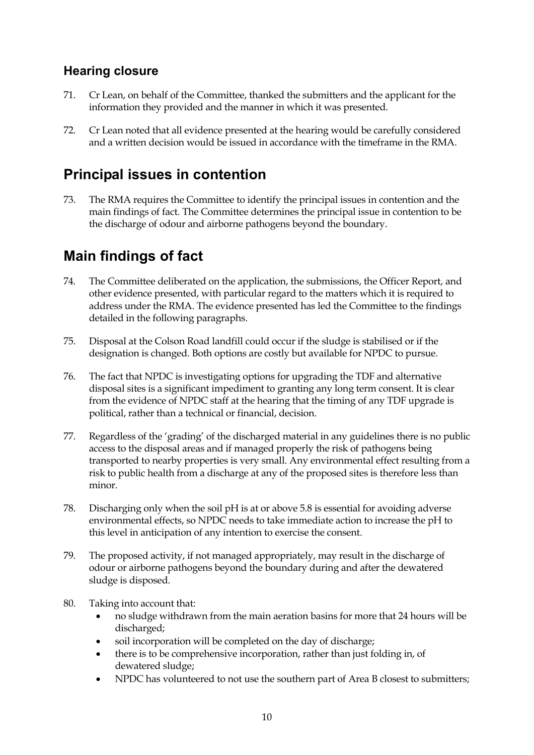### **Hearing closure**

- 71. Cr Lean, on behalf of the Committee, thanked the submitters and the applicant for the information they provided and the manner in which it was presented.
- 72. Cr Lean noted that all evidence presented at the hearing would be carefully considered and a written decision would be issued in accordance with the timeframe in the RMA.

## **Principal issues in contention**

73. The RMA requires the Committee to identify the principal issues in contention and the main findings of fact. The Committee determines the principal issue in contention to be the discharge of odour and airborne pathogens beyond the boundary.

# **Main findings of fact**

- 74. The Committee deliberated on the application, the submissions, the Officer Report, and other evidence presented, with particular regard to the matters which it is required to address under the RMA. The evidence presented has led the Committee to the findings detailed in the following paragraphs.
- 75. Disposal at the Colson Road landfill could occur if the sludge is stabilised or if the designation is changed. Both options are costly but available for NPDC to pursue.
- 76. The fact that NPDC is investigating options for upgrading the TDF and alternative disposal sites is a significant impediment to granting any long term consent. It is clear from the evidence of NPDC staff at the hearing that the timing of any TDF upgrade is political, rather than a technical or financial, decision.
- 77. Regardless of the 'grading' of the discharged material in any guidelines there is no public access to the disposal areas and if managed properly the risk of pathogens being transported to nearby properties is very small. Any environmental effect resulting from a risk to public health from a discharge at any of the proposed sites is therefore less than minor.
- 78. Discharging only when the soil pH is at or above 5.8 is essential for avoiding adverse environmental effects, so NPDC needs to take immediate action to increase the pH to this level in anticipation of any intention to exercise the consent.
- 79. The proposed activity, if not managed appropriately, may result in the discharge of odour or airborne pathogens beyond the boundary during and after the dewatered sludge is disposed.
- 80. Taking into account that:
	- no sludge withdrawn from the main aeration basins for more that 24 hours will be discharged;
	- soil incorporation will be completed on the day of discharge;
	- there is to be comprehensive incorporation, rather than just folding in, of dewatered sludge;
	- NPDC has volunteered to not use the southern part of Area B closest to submitters;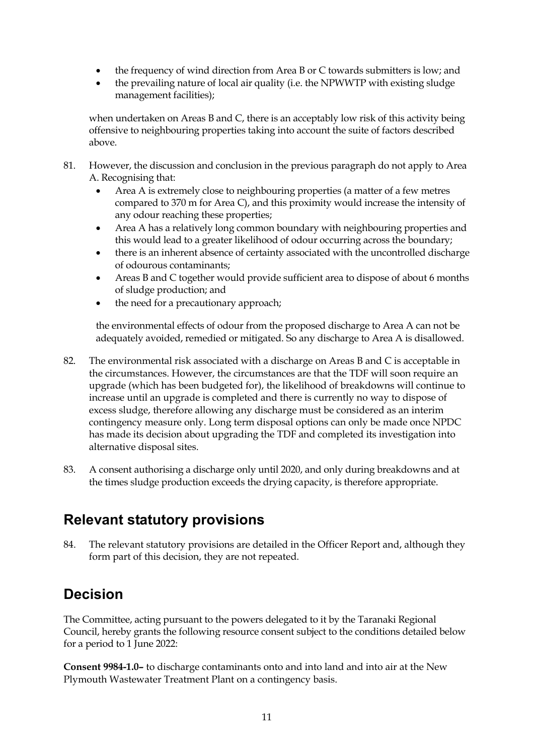- the frequency of wind direction from Area B or C towards submitters is low; and
- the prevailing nature of local air quality (i.e. the NPWWTP with existing sludge management facilities);

when undertaken on Areas B and C, there is an acceptably low risk of this activity being offensive to neighbouring properties taking into account the suite of factors described above.

- 81. However, the discussion and conclusion in the previous paragraph do not apply to Area A. Recognising that:
	- Area A is extremely close to neighbouring properties (a matter of a few metres compared to 370 m for Area C), and this proximity would increase the intensity of any odour reaching these properties;
	- Area A has a relatively long common boundary with neighbouring properties and this would lead to a greater likelihood of odour occurring across the boundary;
	- there is an inherent absence of certainty associated with the uncontrolled discharge of odourous contaminants;
	- Areas B and C together would provide sufficient area to dispose of about 6 months of sludge production; and
	- the need for a precautionary approach;

the environmental effects of odour from the proposed discharge to Area A can not be adequately avoided, remedied or mitigated. So any discharge to Area A is disallowed.

- 82. The environmental risk associated with a discharge on Areas B and C is acceptable in the circumstances. However, the circumstances are that the TDF will soon require an upgrade (which has been budgeted for), the likelihood of breakdowns will continue to increase until an upgrade is completed and there is currently no way to dispose of excess sludge, therefore allowing any discharge must be considered as an interim contingency measure only. Long term disposal options can only be made once NPDC has made its decision about upgrading the TDF and completed its investigation into alternative disposal sites.
- 83. A consent authorising a discharge only until 2020, and only during breakdowns and at the times sludge production exceeds the drying capacity, is therefore appropriate.

## **Relevant statutory provisions**

84. The relevant statutory provisions are detailed in the Officer Report and, although they form part of this decision, they are not repeated.

# **Decision**

The Committee, acting pursuant to the powers delegated to it by the Taranaki Regional Council, hereby grants the following resource consent subject to the conditions detailed below for a period to 1 June 2022:

**Consent 9984-1.0–** to discharge contaminants onto and into land and into air at the New Plymouth Wastewater Treatment Plant on a contingency basis.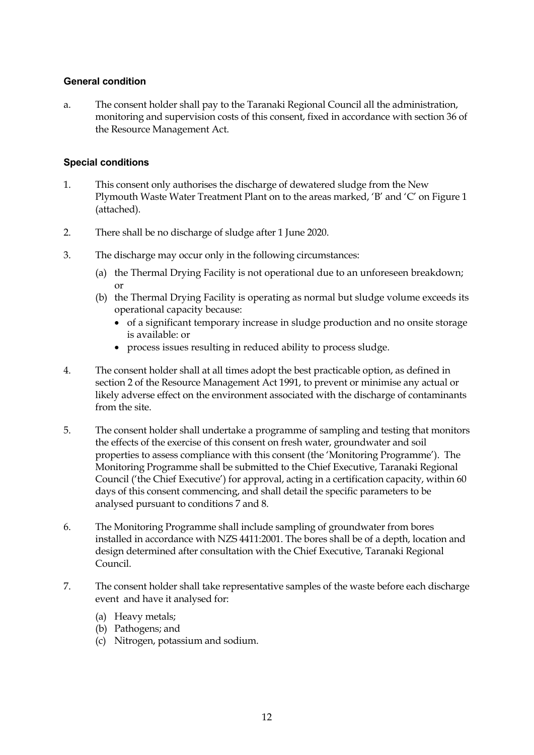#### **General condition**

a. The consent holder shall pay to the Taranaki Regional Council all the administration, monitoring and supervision costs of this consent, fixed in accordance with section 36 of the Resource Management Act.

#### **Special conditions**

- 1. This consent only authorises the discharge of dewatered sludge from the New Plymouth Waste Water Treatment Plant on to the areas marked, 'B' and 'C' on Figure 1 (attached).
- 2. There shall be no discharge of sludge after 1 June 2020.
- 3. The discharge may occur only in the following circumstances:
	- (a) the Thermal Drying Facility is not operational due to an unforeseen breakdown; or
	- (b) the Thermal Drying Facility is operating as normal but sludge volume exceeds its operational capacity because:
		- of a significant temporary increase in sludge production and no onsite storage is available: or
		- process issues resulting in reduced ability to process sludge.
- 4. The consent holder shall at all times adopt the best practicable option, as defined in section 2 of the Resource Management Act 1991, to prevent or minimise any actual or likely adverse effect on the environment associated with the discharge of contaminants from the site.
- 5. The consent holder shall undertake a programme of sampling and testing that monitors the effects of the exercise of this consent on fresh water, groundwater and soil properties to assess compliance with this consent (the 'Monitoring Programme'). The Monitoring Programme shall be submitted to the Chief Executive, Taranaki Regional Council ('the Chief Executive') for approval, acting in a certification capacity, within 60 days of this consent commencing, and shall detail the specific parameters to be analysed pursuant to condition[s 7](#page-17-0) and 8.
- 6. The Monitoring Programme shall include sampling of groundwater from bores installed in accordance with NZS 4411:2001. The bores shall be of a depth, location and design determined after consultation with the Chief Executive, Taranaki Regional Council.
- <span id="page-17-0"></span>7. The consent holder shall take representative samples of the waste before each discharge event and have it analysed for:
	- (a) Heavy metals;
	- (b) Pathogens; and
	- (c) Nitrogen, potassium and sodium.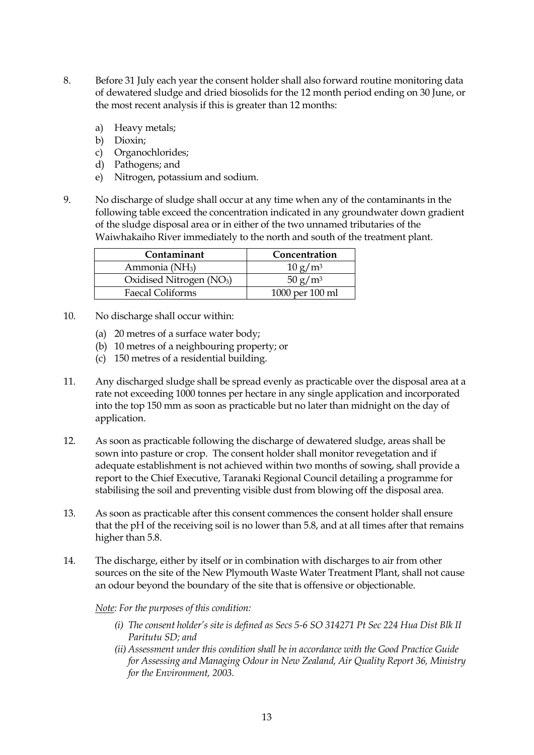- 8. Before 31 July each year the consent holder shall also forward routine monitoring data of dewatered sludge and dried biosolids for the 12 month period ending on 30 June, or the most recent analysis if this is greater than 12 months:
	- a) Heavy metals;
	- b) Dioxin;
	- c) Organochlorides;
	- d) Pathogens; and
	- e) Nitrogen, potassium and sodium.
- 9. No discharge of sludge shall occur at any time when any of the contaminants in the following table exceed the concentration indicated in any groundwater down gradient of the sludge disposal area or in either of the two unnamed tributaries of the Waiwhakaiho River immediately to the north and south of the treatment plant.

| Contaminant                          | Concentration       |
|--------------------------------------|---------------------|
| Ammonia (NH <sub>3</sub> )           | 10 g/m <sup>3</sup> |
| Oxidised Nitrogen (NO <sub>3</sub> ) | 50 g/m <sup>3</sup> |
| Faecal Coliforms                     | 1000 per 100 ml     |

- 10. No discharge shall occur within:
	- (a) 20 metres of a surface water body;
	- (b) 10 metres of a neighbouring property; or
	- (c) 150 metres of a residential building.
- 11. Any discharged sludge shall be spread evenly as practicable over the disposal area at a rate not exceeding 1000 tonnes per hectare in any single application and incorporated into the top 150 mm as soon as practicable but no later than midnight on the day of application.
- 12. As soon as practicable following the discharge of dewatered sludge, areas shall be sown into pasture or crop. The consent holder shall monitor revegetation and if adequate establishment is not achieved within two months of sowing, shall provide a report to the Chief Executive, Taranaki Regional Council detailing a programme for stabilising the soil and preventing visible dust from blowing off the disposal area.
- 13. As soon as practicable after this consent commences the consent holder shall ensure that the pH of the receiving soil is no lower than 5.8, and at all times after that remains higher than 5.8.
- 14. The discharge, either by itself or in combination with discharges to air from other sources on the site of the New Plymouth Waste Water Treatment Plant, shall not cause an odour beyond the boundary of the site that is offensive or objectionable.

*Note: For the purposes of this condition:* 

- *(i) The consent holder's site is defined as Secs 5-6 SO 314271 Pt Sec 224 Hua Dist Blk II Paritutu SD; and*
- *(ii) Assessment under this condition shall be in accordance with the Good Practice Guide for Assessing and Managing Odour in New Zealand, Air Quality Report 36, Ministry for the Environment, 2003.*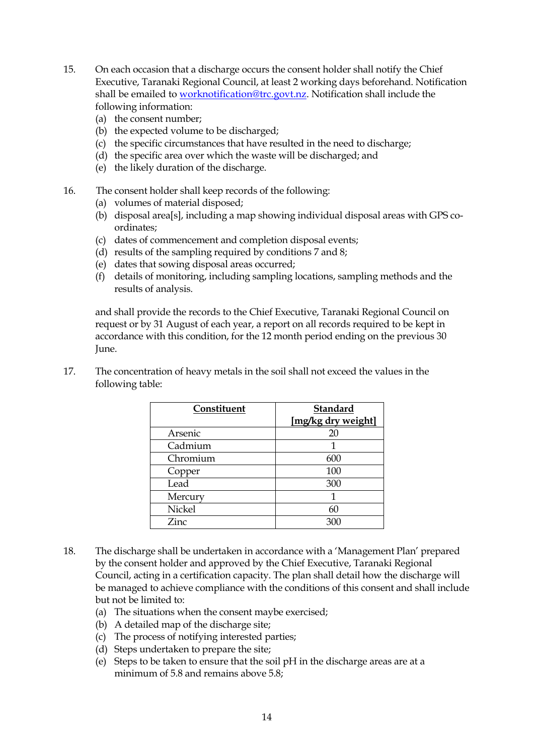- 15. On each occasion that a discharge occurs the consent holder shall notify the Chief Executive, Taranaki Regional Council, at least 2 working days beforehand. Notification shall be emailed to [worknotification@trc.govt.nz.](mailto:worknotification@trc.govt.nz) Notification shall include the following information:
	- (a) the consent number;
	- (b) the expected volume to be discharged;
	- (c) the specific circumstances that have resulted in the need to discharge;
	- (d) the specific area over which the waste will be discharged; and
	- (e) the likely duration of the discharge.
- 16. The consent holder shall keep records of the following:
	- (a) volumes of material disposed;
	- (b) disposal area[s], including a map showing individual disposal areas with GPS coordinates;
	- (c) dates of commencement and completion disposal events;
	- (d) results of the sampling required by conditions 7 and 8;
	- (e) dates that sowing disposal areas occurred;
	- (f) details of monitoring, including sampling locations, sampling methods and the results of analysis.

and shall provide the records to the Chief Executive, Taranaki Regional Council on request or by 31 August of each year, a report on all records required to be kept in accordance with this condition, for the 12 month period ending on the previous 30 June.

| Constituent   | <b>Standard</b><br>[mg/kg dry weight] |
|---------------|---------------------------------------|
|               |                                       |
| Arsenic       |                                       |
| Cadmium       |                                       |
| Chromium      | 600                                   |
| Copper        | 100                                   |
| Lead          | 300                                   |
| Mercury       |                                       |
| <b>Nickel</b> | 60                                    |
| Zinc          | 300                                   |

17. The concentration of heavy metals in the soil shall not exceed the values in the following table:

- 18. The discharge shall be undertaken in accordance with a 'Management Plan' prepared by the consent holder and approved by the Chief Executive, Taranaki Regional Council, acting in a certification capacity. The plan shall detail how the discharge will be managed to achieve compliance with the conditions of this consent and shall include but not be limited to:
	- (a) The situations when the consent maybe exercised;
	- (b) A detailed map of the discharge site;
	- (c) The process of notifying interested parties;
	- (d) Steps undertaken to prepare the site;
	- (e) Steps to be taken to ensure that the soil pH in the discharge areas are at a minimum of 5.8 and remains above 5.8: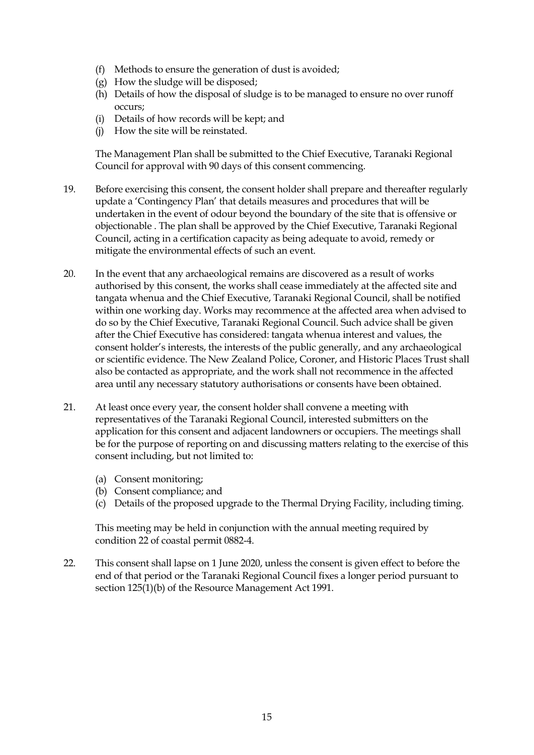- (f) Methods to ensure the generation of dust is avoided;
- (g) How the sludge will be disposed;
- (h) Details of how the disposal of sludge is to be managed to ensure no over runoff occurs;
- (i) Details of how records will be kept; and
- (j) How the site will be reinstated.

The Management Plan shall be submitted to the Chief Executive, Taranaki Regional Council for approval with 90 days of this consent commencing.

- 19. Before exercising this consent, the consent holder shall prepare and thereafter regularly update a 'Contingency Plan' that details measures and procedures that will be undertaken in the event of odour beyond the boundary of the site that is offensive or objectionable . The plan shall be approved by the Chief Executive, Taranaki Regional Council, acting in a certification capacity as being adequate to avoid, remedy or mitigate the environmental effects of such an event.
- 20. In the event that any archaeological remains are discovered as a result of works authorised by this consent, the works shall cease immediately at the affected site and tangata whenua and the Chief Executive, Taranaki Regional Council, shall be notified within one working day. Works may recommence at the affected area when advised to do so by the Chief Executive, Taranaki Regional Council. Such advice shall be given after the Chief Executive has considered: tangata whenua interest and values, the consent holder's interests, the interests of the public generally, and any archaeological or scientific evidence. The New Zealand Police, Coroner, and Historic Places Trust shall also be contacted as appropriate, and the work shall not recommence in the affected area until any necessary statutory authorisations or consents have been obtained.
- 21. At least once every year, the consent holder shall convene a meeting with representatives of the Taranaki Regional Council, interested submitters on the application for this consent and adjacent landowners or occupiers. The meetings shall be for the purpose of reporting on and discussing matters relating to the exercise of this consent including, but not limited to:
	- (a) Consent monitoring;
	- (b) Consent compliance; and
	- (c) Details of the proposed upgrade to the Thermal Drying Facility, including timing.

This meeting may be held in conjunction with the annual meeting required by condition 22 of coastal permit 0882-4.

22. This consent shall lapse on 1 June 2020, unless the consent is given effect to before the end of that period or the Taranaki Regional Council fixes a longer period pursuant to section 125(1)(b) of the Resource Management Act 1991.